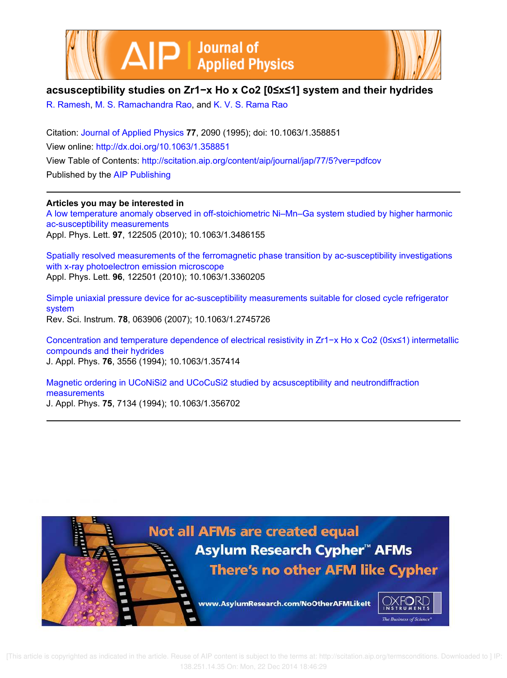



# **acsusceptibility studies on Zr1−x Ho x Co2 [0≤x≤1] system and their hydrides**

R. Ramesh, M. S. Ramachandra Rao, and K. V. S. Rama Rao

Citation: Journal of Applied Physics **77**, 2090 (1995); doi: 10.1063/1.358851 View online: http://dx.doi.org/10.1063/1.358851 View Table of Contents: http://scitation.aip.org/content/aip/journal/jap/77/5?ver=pdfcov Published by the AIP Publishing

# **Articles you may be interested in**

A low temperature anomaly observed in off-stoichiometric Ni–Mn–Ga system studied by higher harmonic ac-susceptibility measurements Appl. Phys. Lett. **97**, 122505 (2010); 10.1063/1.3486155

Spatially resolved measurements of the ferromagnetic phase transition by ac-susceptibility investigations with x-ray photoelectron emission microscope Appl. Phys. Lett. **96**, 122501 (2010); 10.1063/1.3360205

Simple uniaxial pressure device for ac-susceptibility measurements suitable for closed cycle refrigerator system Rev. Sci. Instrum. **78**, 063906 (2007); 10.1063/1.2745726

Concentration and temperature dependence of electrical resistivity in Zr1−x Ho x Co2 (0≤x≤1) intermetallic compounds and their hydrides J. Appl. Phys. **76**, 3556 (1994); 10.1063/1.357414

Magnetic ordering in UCoNiSi2 and UCoCuSi2 studied by acsusceptibility and neutrondiffraction measurements

J. Appl. Phys. **75**, 7134 (1994); 10.1063/1.356702

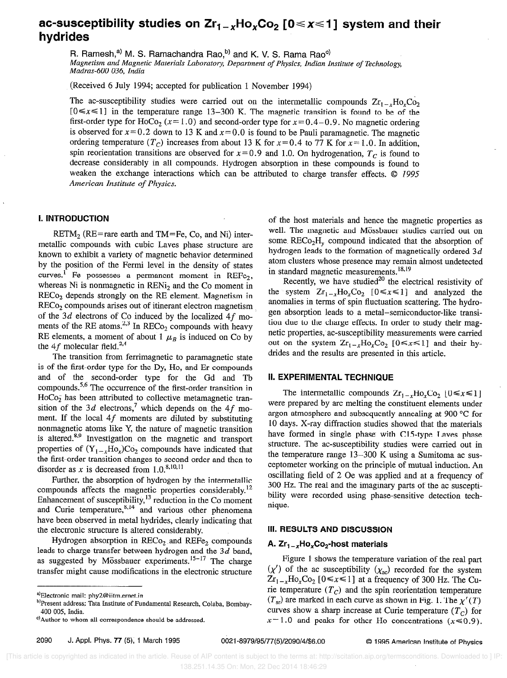# ac-susceptibility studies on  $Zr_1_{x}Ho_xCo_2[0 \le x \le 1]$  system and their hydrides

R. Ramesh,<sup>a)</sup> M. S. Ramachandra Rao,<sup>b)</sup> and K. V. S. Rama Rao<sup>c)</sup>

Magnetism and Magnetic Materials Laboratory, Department of Physics, Indiaa Institute of Technology, Madras-600 036, India

(Received 6 July 1994; accepted for publication 1 November 1994)

The ac-susceptibility studies were carried out on the intermetallic compounds  $Zr_1$ <sub>-x</sub>H<sub>0</sub><sub>x</sub>C<sub>0<sub>2</sub></sub>  $[0 \le x \le 1]$  in the temperature range 13-300 K. The magnetic transition is found to be of the first-order type for HoCo<sub>2</sub> ( $x=1.0$ ) and second-order type for  $x=0.4-0.9$ . No magnetic ordering is observed for  $x=0.2$  down to 13 K and  $x=0.0$  is found to be Pauli paramagnetic. The magnetic ordering temperature ( $T_c$ ) increases from about 13 K for  $x = 0.4$  to 77 K for  $x = 1.0$ . In addition, spin reorientation transitions are observed for  $x=0.9$  and 1.0. On hydrogenation,  $T_c$  is found to decrease considerably in all compounds. Hydrogen absorption in these compounds is found to weaken the exchange interactions which can be attributed to charge transfer effects.  $\odot$  1995 American Institute of Physics.

## I. INTRODUCTION

RETM<sub>2</sub> (RE=rare earth and TM=Fe, Co, and Ni) intermetallic compounds with cubic Laves phase structure are known to exhibit a variety of magnetic behavior determined by the position of the Fermi level in the density of states curves.<sup>1</sup> Fe possesses a permanent moment in REF $c<sub>2</sub>$ , whereas Ni is nonmagnetic in  $RENi<sub>2</sub>$  and the Co moment in RECo, depends strongly on the RE element. Magnetism in RECo, compounds arises out of itinerant electron magnetism of the  $3d$  electrons of Co induced by the localized  $4f$  moments of the RE atoms.<sup>2,3</sup> In RECo<sub>2</sub> compounds with heavy RE elements, a moment of about 1  $\mu_B$  is induced on Co by the 4 $f$  molecular field.<sup>2,4</sup>

The transition from ferrimagnetic to paramagnetic state is of the first-order type for the Dy, Ho, and Er compounds and of the second-order type for the Cd and Tb compounds.<sup>5,6</sup> The occurrence of the first-order transition in  $HoCo<sub>2</sub>$  has been attributed to collective metamagnetic transition of the 3d electrons,<sup>7</sup> which depends on the 4f moment. If the local  $4f$  moments are diluted by substituting nonmagnetic atoms like Y, the nature of magnetic transition is altered.<sup>8,9</sup> Investigation on the magnetic and transport properties of  $(Y_{1-x}Ho_x)Co_2$  compounds have indicated that the first-order transition changes to second order and then to disorder as x is decreased from  $1.0$ .<sup>8,10,11</sup>

Further, the absorption of hydrogen by the intermetallic compounds affects the magnetic properties considerably.12 Enhancement of susceptibility, $\cdot$  reduction in the Co moment and Curie temperature,<sup>9,44</sup> and various other phenomena have been observed in metal hydrides, clearly indicating that the electronic structure is altered considerably.

Hydrogen absorption in  $RECo<sub>2</sub>$  and  $REFe<sub>2</sub>$  compounds leads to charge transfer between hydrogen and the  $3d$  band, as suggested by Mössbauer experiments. $15-17$  The charge transfer might cause modifications in the electronic structure

of the host materials and hence the magnetic properties as well. The magnetic and Mössbauer studies carried out on some  $RECo<sub>2</sub>H<sub>v</sub>$  compound indicated that the absorption of hydrogen leads to the formation of magnetically ordered  $3d$ atom clusters whose presence may remain almost undetected in standard magnetic measurements.<sup>18,19</sup>

Recently, we have studied $^{20}$  the electrical resistivity of the system  $Zr_{1-x}Ho_xCo_2$  [ $0 \le x \le 1$ ] and analyzed the anomalies in terms of spin fluctuation scattering. The hydrogen absorption leads to a metal-semiconductor-like transition due to the charge effects. In order to study their magnetic properties, ac-susceptibility measurements were carried out on the system  $Zr_{1-r}Ho_rCo$ ,  $[0 \le x \le 1]$  and their hydrides and the results are presented in this article.

#### il. EXPERIMENTAL TECHNIQUE

The intermetallic compounds  $Zr_{1-x}Ho_xCo_2$  [ $0 \le x \le 1$ ] were prepared by arc melting the constituent elements under argon atmosphere and subsequently annealing at 900 "C for 10 days. X-ray diffraction studies showed that the materials have formed in single phase with C15-type Laves phase structure. The ac-susceptibility studies were carried out in the temperature range 13-300 K using a Sumitoma ac susceptometer working on the principle of mutual induction. An oscillating field of 2 Oe was applied and at a frequency of 300 Hz. The real and the imaginary parts of the ac susceptibility were recorded using phase-sensitive detection technique.

#### 111. RESULTS AND DISCUSSION

## A.  $Zr_1 - _x$ Ho, $Co_2$ -host materials

Figure 1 shows the temperature variation of the real part  $(\chi')$  of the ac susceptibility  $(\chi_{ac})$  recorded for the system  $Zr_{1-x}Ho_xCo_2$  [  $0 \le x \le 1$  ] at a frequency of 300 Hz. The Curie temperature  $(T_C)$  and the spin reorientation temperature  $(T_{\rm sr})$  are marked in each curve as shown in Fig. 1. The  $\chi'(T)$ curves show a sharp increase at Curie temperature  $(T<sub>c</sub>)$  for  $x=1.0$  and peaks for other Ho concentrations ( $x \le 0.9$ ).

a)Electronic mail: phyZ@iitm.ernet.in

b)Present address: Tata Institute of Fundamental Research, Colaba, Bombay-400 005, India.

<sup>&#</sup>x27;)Author to whom all correspondence should be addressed.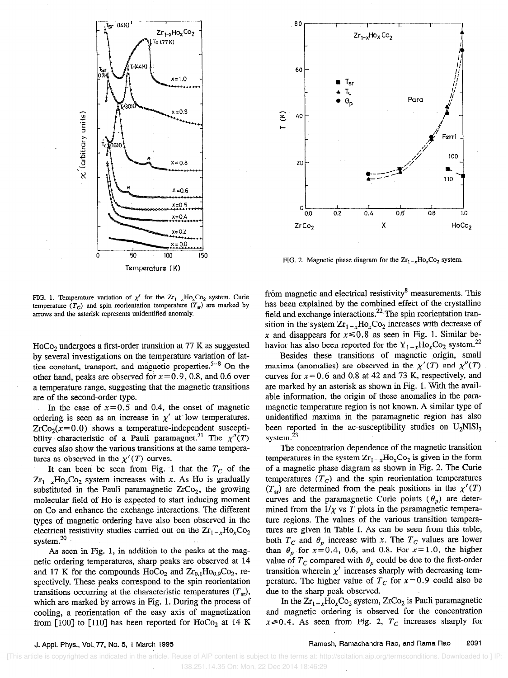

FIG. 1. Temperature variation of  $\chi'$  for the  $Zr_{1-x}Ho_xCo_2$  system. Curie temperature  $(T_c)$  and spin reorientation temperature  $(T_{sr})$  are marked by arrows and the asterisk represents unidentified anomaly.

 $HoCo<sub>2</sub>$  undergoes a first-order transition at 77 K as suggested by several investigations on the temperature variation of lattice constant, transport, and magnetic properties.<sup>5-8</sup> On the other hand, peaks are observed for  $x=0.9$ , 0.8, and 0.6 over a temperature range, suggesting that the magnetic transitions are of the second-order type.

In the case of  $x=0.5$  and 0.4, the onset of magnetic ordering is seen as an increase in  $\chi'$  at low temperatures.  $ZrCo<sub>2</sub>(x=0.0)$  shows a temperature-independent susceptibility characteristic of a Pauli paramagnet.<sup>21</sup> The  $\chi''(T)$ curves aIso show the various transitions at the same temperatures as observed in the  $\chi'(T)$  curves.

It can been be seen from Fig. 1 that the  $T_c$  of the  $Zr_{1-x}Ho_xCo_2$  system increases with x. As Ho is gradually substituted in the Pauli paramagnetic  $ZrCo<sub>2</sub>$ , the growing molecular field of Ho is expected to start inducing moment on Co and enhance the exchange interactions. The different types of magnetic ordering have also been observed in the electrical resistivity studies carried out on the  $Zr_{1-x}Ho<sub>x</sub>Co<sub>2</sub>$ system.<sup>20</sup>

As seen in Fig. 1, in addition to the peaks at the magnetic ordering temperatures, sharp peaks are observed at 14 and 17 K for the compounds  $HoCo<sub>2</sub>$  and  $Zr<sub>0.1</sub>Ho<sub>0.9</sub>Co<sub>2</sub>$ , respectively. These peaks correspond to the spin reorientation transitions occurring at the characteristic temperatures  $(T_{\rm st})$ , which are marked by arrows in Fig. 1. During the process of cooling, a reorientation of the easy axis of magnetization from  $[100]$  to  $[110]$  has been reported for HoCo<sub>2</sub> at 14 K



FIG. 2. Magnetic phase diagram for the  $Zr_{1-x}Ho_xCo_2$  system.

from magnetic and electrical resistivity $\delta$  measurements. This has been explained by the combined effect of the crystalline field and exchange interactions.<sup>22</sup> The spin reorientation transition in the system  $Zr_{1-x}Ho_xCo_2$  increases with decrease of x and disappears for  $x \le 0.8$  as seen in Fig. 1. Similar behavior has also been reported for the  $Y_{1-x}Ho_xCo_2$  system.<sup>22</sup>

Besides these transitions of magnetic origin, small maxima (anomalies) are observed in the  $\chi'(T)$  and  $\chi''(T)$ curves for  $x = 0.6$  and 0.8 at 42 and 73 K, respectively, and are marked by an asterisk as shown in Fig. 1. With the available information, the origin of these anomalies in the paramagnetic temperature region is not known. A similar type of unidentified maxima in the paramagnetic region has also been reported in the ac-susceptibility studies on  $U_2NISl_3$ system.<sup>23</sup>

The concentration dependence of the magnetic transition temperatures in the system  $Zr_1 - _xHo_xCo_2$  is given in the form of a magnetic phase diagram as shown in Fig. 2. The Curie temperatures  $(T_C)$  and the spin reorientation temperatures  $(T_{\rm sr})$  are determined from the peak positions in the  $\chi'(T)$ curves and the paramagnetic Curie points  $(\theta_p)$  are determined from the  $1/\chi$  vs T plots in the paramagnetic temperature regions. The values of the various transition temperatures are given in Table I. As can be seen from this table, both  $T_c$  and  $\theta_p$  increase with x. The  $T_c$  values are lower than  $\theta_p$  for  $x=0.4$ , 0.6, and 0.8. For  $x=1.0$ , the higher value of  $T_c$  compared with  $\theta_p$  could be due to the first-order transition wherein  $\chi'$  increases sharply with decreasing temperature. The higher value of  $T_c$  for  $x=0.9$  could also be due to the sharp peak observed.

In the  $Zr_{1-x}Ho_xCo_2$  system,  $ZrCo_2$  is Pauli paramagnetic and magnetic ordering is observed for the concentration  $x\ge0.4$ . As seen from Fig. 2,  $T_c$  increases sharply for

 <sup>[</sup>This article is copyrighted as indicated in the article. Reuse of AIP content is subject to the terms at: http://scitation.aip.org/termsconditions. Downloaded to ] IP: 138.251.14.35 On: Mon, 22 Dec 2014 18:46:29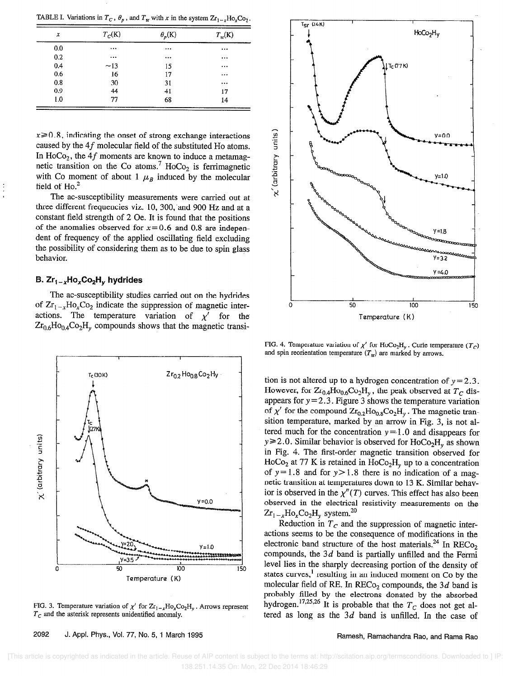TABLE I. Variations in  $T_c$ ,  $\theta_p$ , and  $T_{sr}$  with x in the system  $Zr_{1-x}Ho_xCo_2$ .

| $T_C(K)$ | $\theta_p(K)$ | $T_{\rm sr}$ (K) |
|----------|---------------|------------------|
|          |               | $\cdots$         |
|          |               | $\cdots$         |
| ~13      | 15            | $\cdots$         |
| 16       | 17            |                  |
| 30       | 31            | $\cdots$         |
| 44       | 41            | 17               |
| 77       | 68            | 14               |
|          |               |                  |

 $x \ge 0.8$ , indicating the onset of strong exchange interactions caused by the 4f molecular field of the substituted Ho atoms. In HoCo<sub>2</sub>, the 4f moments are known to induce a metamagnetic transition on the Co atoms.<sup>7</sup> HoCo<sub>2</sub> is ferrimagnetic with Co moment of about 1  $\mu_B$  induced by the molecular field of  $Ho<sup>2</sup>$ 

The ac-susceptibility measurements were carried out at three different frequencies viz. 10, 300, and 900 Hz and at a constant field strength of 2 Oe. It is found that the positions of the anomalies observed for  $x=0.6$  and 0.8 are independent of frequency of the applied oscillating field excluding the possibility of considering them as to be due to spin glass behavior.

# B.  $Zr_1_{-x}Ho_xCo_2H_y$  hydrides

The ac-susceptibility studies carried out on the hydrides of  $Zr_{1-x}Ho_xCo_2$  indicate the suppression of magnetic interactions. The temperature variation of  $\chi'$  for the  $Zr_{0.6}Ho_{0.4}Co_2H_v$  compounds shows that the magnetic transi-



FIG. 3. Temperature variation of  $\chi'$  for  $Zr_1 \rightarrow H_2CO_2H_y$ . Arrows represent  $T_c$  and the asterisk represents unidentified anomaly.





FIG. 4. Temperature variation of  $\chi'$  for HoCo<sub>2</sub>H<sub>v</sub>. Curie temperature (T<sub>C</sub>) and spin reorientation temperature  $(T_{\rm sr})$  are marked by arrows.

tion is not altered up to a hydrogen concentration of  $y = 2.3$ . However, for  $Zr_{0.4}Ho_{0.6}Co_2H_y$ , the peak observed at  $T_C$  disappears for  $y = 2.3$ . Figure 3 shows the temperature variation of  $\chi'$  for the compound  $Zr_{0,2}Ho_{0,8}Co_2H_v$ . The magnetic transition temperature, marked by an arrow in Fig. 3, is not altered much for the concentration  $y=1.0$  and disappears for  $y \ge 2.0$ . Similar behavior is observed for HoCo<sub>2</sub>H<sub>y</sub> as shown in Fig. 4. The first-order magnetic transition observed for HoCo<sub>2</sub> at 77 K is retained in HoCo<sub>2</sub>H<sub>y</sub> up to a concentration of  $y=1.8$  and for  $y>1.8$  there is no indication of a magnetic transition at temperatures down to 13 K. Similar behavior is observed in the  $\chi''(T)$  curves. This effect has also been observed in the electrical resistivity measurements on the  $Zr_{1-x}Ho_xCo_2H_y$  system.<sup>20</sup>

Reduction in  $T_c$  and the suppression of magnetic interactions seems to be the consequence of modifications in the electronic band structure of the host materials.<sup>24</sup> In RECo<sub>2</sub> compounds, the  $3d$  band is partially unfilled and the Fermi level lies in the sharply decreasing portion of the density of states curves,<sup>1</sup> resulting in an induced moment on Co by the molecular field of RE. In  $RECo<sub>2</sub>$  compounds, the 3d band is probably filled by the electrons donated by the absorbed hydrogen.  $172,20$  It is probable that the  $T_c$  does not get altered as long as the  $3d$  band is unfilled. In the case of

#### Ramesh, Ramachandra Rao, and Rama Rao